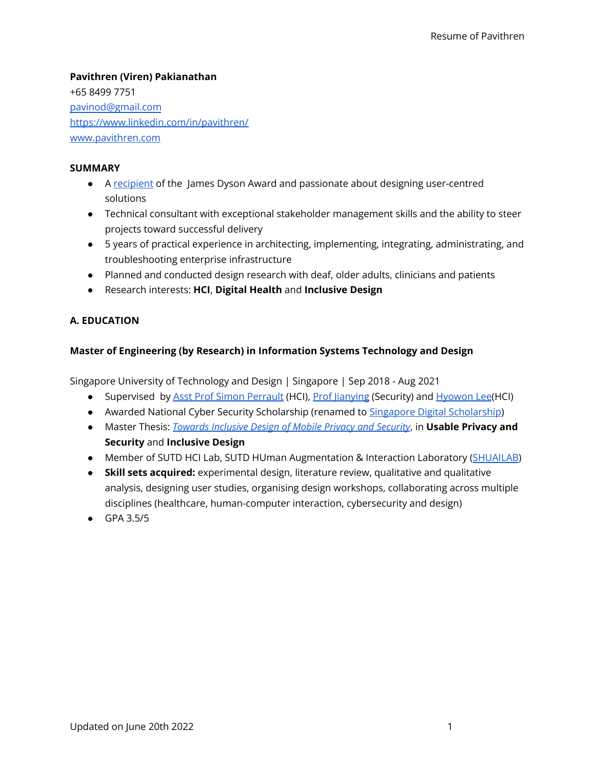# **Pavithren (Viren) Pakianathan** +65 8499 7751

[pavinod@gmail.com](mailto:pavinod@gmail.com) <https://www.linkedin.com/in/pavithren/> [www.pavithren.com](http://www.pavithren.com)

### **SUMMARY**

- A [recipient](https://www.jamesdysonaward.org/en-SG/2017/project/peri/) of the James Dyson Award and passionate about designing user-centred solutions
- Technical consultant with exceptional stakeholder management skills and the ability to steer projects toward successful delivery
- 5 years of practical experience in architecting, implementing, integrating, administrating, and troubleshooting enterprise infrastructure
- Planned and conducted design research with deaf, older adults, clinicians and patients
- Research interests: **HCI**, **Digital Health** and **Inclusive Design**

# **A. EDUCATION**

# **Master of Engineering (by Research) in Information Systems Technology and Design**

Singapore University of Technology and Design | Singapore | Sep 2018 - Aug 2021

- Supervised by Asst Prof Simon [Perrault](https://istd.sutd.edu.sg/people/faculty/simon-perrault) (HCI), Prof lianying (Security) and [Hyowon](https://hyowonlee.com/) Lee(HCI)
- Awarded National Cyber Security [Scholarship](https://www.imda.gov.sg/imtalent/programmes/sgd-postgraduate) (renamed to Singapore Digital Scholarship)
- Master Thesis: *Towards [Inclusive](https://www.researchgate.net/publication/354462634_Towards_Inclusive_Design_of_Mobile_Privacy_and_Security) Design of Mobile Privacy and Security*, in **Usable Privacy and Security** and **Inclusive Design**
- Member of SUTD HCI Lab, SUTD HUman Augmentation & Interaction Laboratory ([SHUAILAB\)](http://shuailab.wordpress.com/)
- **Skill sets acquired:** experimental design, literature review, qualitative and qualitative analysis, designing user studies, organising design workshops, collaborating across multiple disciplines (healthcare, human-computer interaction, cybersecurity and design)
- GPA 3.5/5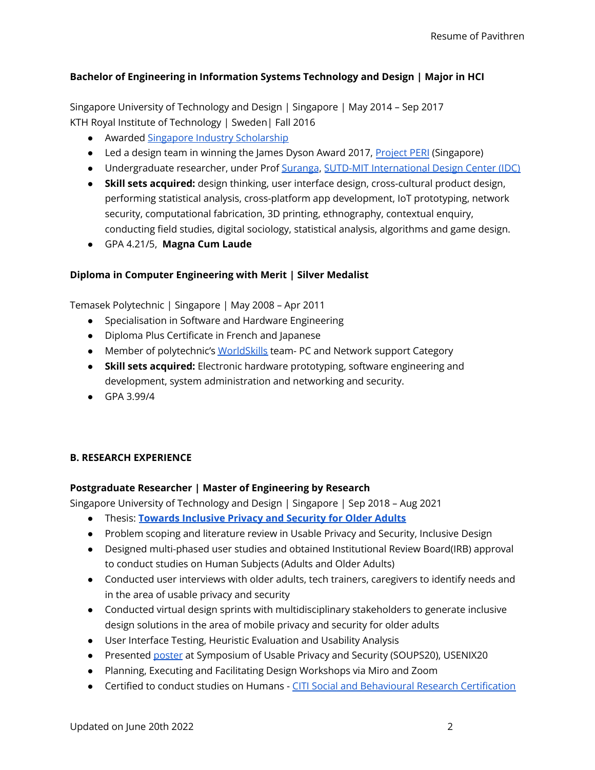### **Bachelor of Engineering in Information Systems Technology and Design | Major in HCI**

Singapore University of Technology and Design | Singapore | May 2014 – Sep 2017 KTH Royal Institute of Technology | Sweden| Fall 2016

- Awarded Singapore Industry [Scholarship](https://www.moe.gov.sg/sgis)
- Led a design team in winning the James Dyson Award 2017, [Project](https://www.jamesdysonaward.org/en-SG/2017/project/peri/) PERI (Singapore)
- Undergraduate researcher, under Prof [Suranga](https://suranga.info/), SUTD-MIT [International](https://idc.sutd.edu.sg/) Design Center (IDC)
- **Skill sets acquired:** design thinking, user interface design, cross-cultural product design, performing statistical analysis, cross-platform app development, IoT prototyping, network security, computational fabrication, 3D printing, ethnography, contextual enquiry, conducting field studies, digital sociology, statistical analysis, algorithms and game design.
- GPA 4.21/5, **Magna Cum Laude**

### **Diploma in Computer Engineering with Merit | Silver Medalist**

Temasek Polytechnic | Singapore | May 2008 – Apr 2011

- *●* Specialisation in Software and Hardware Engineering
- Diploma Plus Certificate in French and Japanese
- *●* Member of polytechnic's [WorldSkills](https://www.worldskills.sg/) team- PC and Network support Category
- **Skill sets acquired:** Electronic hardware prototyping, software engineering and development, system administration and networking and security.
- GPA 3.99/4

#### **B. RESEARCH EXPERIENCE**

#### **Postgraduate Researcher | Master of Engineering by Research**

Singapore University of Technology and Design | Singapore | Sep 2018 – Aug 2021

- Thesis: **Towards [Inclusive](https://www.researchgate.net/publication/354462634_Towards_Inclusive_Design_of_Mobile_Privacy_and_Security) Privacy and Security for Older Adults**
- Problem scoping and literature review in Usable Privacy and Security, Inclusive Design
- Designed multi-phased user studies and obtained Institutional Review Board(IRB) approval to conduct studies on Human Subjects (Adults and Older Adults)
- Conducted user interviews with older adults, tech trainers, caregivers to identify needs and in the area of usable privacy and security
- Conducted virtual design sprints with multidisciplinary stakeholders to generate inclusive design solutions in the area of mobile privacy and security for older adults
- User Interface Testing, Heuristic Evaluation and Usability Analysis
- Presented [poster](https://www.usenix.org/conference/soups2020/presentation/pakianathan) at Symposium of Usable Privacy and Security (SOUPS20), USENIX20
- Planning, Executing and Facilitating Design Workshops via Miro and Zoom
- Certified to conduct studies on Humans CITI Social and Behavioural Research [Certification](https://www.citiprogram.org/verify/?k6447a55e-2274-4775-a4c2-0b4c7337d0a6-28054008)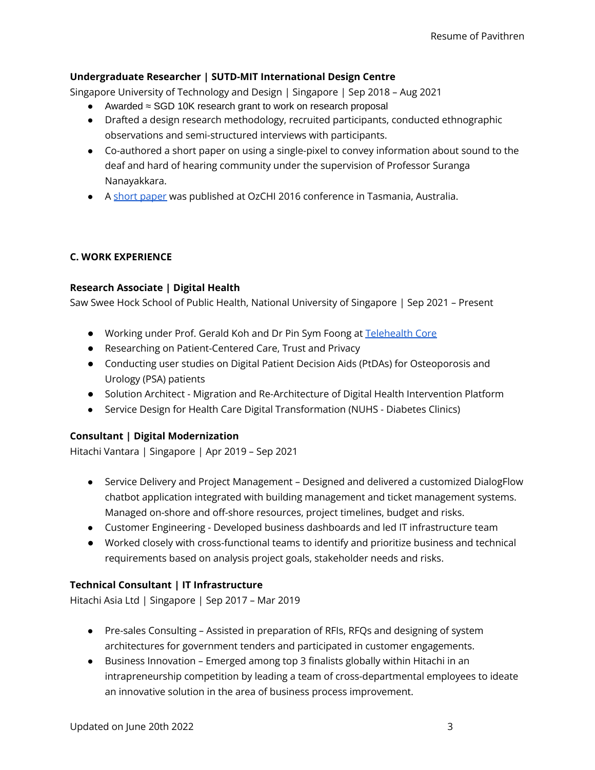### **Undergraduate Researcher | SUTD-MIT International Design Centre**

Singapore University of Technology and Design | Singapore | Sep 2018 – Aug 2021

- Awarded ≈ SGD 10K research grant to work on research proposal
- Drafted a design research methodology, recruited participants, conducted ethnographic observations and semi-structured interviews with participants.
- Co-authored a short paper on using a single-pixel to convey information about sound to the deaf and hard of hearing community under the supervision of Professor Suranga Nanayakkara.
- A short [paper](https://dl.acm.org/doi/10.1145/3010915.3010980) was published at OzCHI 2016 conference in Tasmania, Australia.

### **C. WORK EXPERIENCE**

#### **Research Associate | Digital Health**

Saw Swee Hock School of Public Health, National University of Singapore | Sep 2021 – Present

- Working under Prof. Gerald Koh and Dr Pin Sym Foong at [Telehealth](https://medicine.nus.edu.sg/nuhscg/core-facilities/telehealth-core/about-us/) Core
- Researching on Patient-Centered Care, Trust and Privacy
- Conducting user studies on Digital Patient Decision Aids (PtDAs) for Osteoporosis and Urology (PSA) patients
- Solution Architect Migration and Re-Architecture of Digital Health Intervention Platform
- Service Design for Health Care Digital Transformation (NUHS Diabetes Clinics)

#### **Consultant | Digital Modernization**

Hitachi Vantara | Singapore | Apr 2019 – Sep 2021

- Service Delivery and Project Management Designed and delivered a customized DialogFlow chatbot application integrated with building management and ticket management systems. Managed on-shore and off-shore resources, project timelines, budget and risks.
- Customer Engineering Developed business dashboards and led IT infrastructure team
- Worked closely with cross-functional teams to identify and prioritize business and technical requirements based on analysis project goals, stakeholder needs and risks.

#### **Technical Consultant | IT Infrastructure**

Hitachi Asia Ltd | Singapore | Sep 2017 – Mar 2019

- Pre-sales Consulting Assisted in preparation of RFIs, RFQs and designing of system architectures for government tenders and participated in customer engagements.
- Business Innovation Emerged among top 3 finalists globally within Hitachi in an intrapreneurship competition by leading a team of cross-departmental employees to ideate an innovative solution in the area of business process improvement.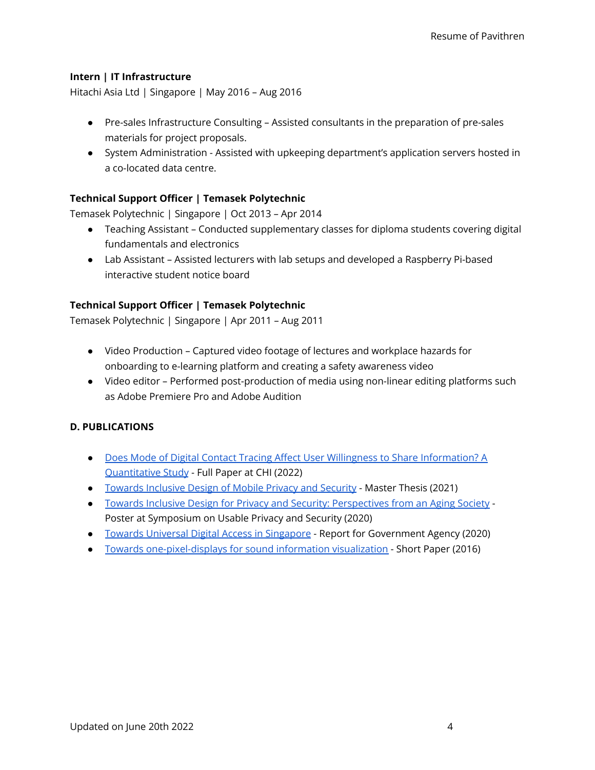#### **Intern | IT Infrastructure**

Hitachi Asia Ltd | Singapore | May 2016 – Aug 2016

- Pre-sales Infrastructure Consulting Assisted consultants in the preparation of pre-sales materials for project proposals.
- System Administration Assisted with upkeeping department's application servers hosted in a co-located data centre.

### **Technical Support Officer | Temasek Polytechnic**

Temasek Polytechnic | Singapore | Oct 2013 – Apr 2014

- Teaching Assistant Conducted supplementary classes for diploma students covering digital fundamentals and electronics
- Lab Assistant Assisted lecturers with lab setups and developed a Raspberry Pi-based interactive student notice board

#### **Technical Support Officer | Temasek Polytechnic**

Temasek Polytechnic | Singapore | Apr 2011 – Aug 2011

- Video Production Captured video footage of lectures and workplace hazards for onboarding to e-learning platform and creating a safety awareness video
- Video editor Performed post-production of media using non-linear editing platforms such as Adobe Premiere Pro and Adobe Audition

#### **D. PUBLICATIONS**

- Does Mode of Digital Contact Tracing Affect User Willingness to Share [Information?](https://doi.org/10.1145/3491102.3517595) A [Quantitative](https://doi.org/10.1145/3491102.3517595) Study - Full Paper at CHI (2022)
- Towards [Inclusive](https://www.researchgate.net/publication/354462634_Towards_Inclusive_Design_of_Mobile_Privacy_and_Security) Design of Mobile Privacy and Security Master Thesis (2021)
- Towards Inclusive Design for Privacy and Security: [Perspectives](https://www.usenix.org/conference/soups2020/presentation/pakianathan) from an Aging Society Poster at Symposium on Usable Privacy and Security (2020)
- Towards Universal Digital Access in [Singapore](https://fass.nus.edu.sg/ssr/wp-content/uploads/sites/8/2021/01/Digital-Access-20210118.pdf) Report for Government Agency (2020)
- Towards [one-pixel-displays](https://dl.acm.org/doi/10.1145/3010915.3010980) for sound information visualization Short Paper (2016)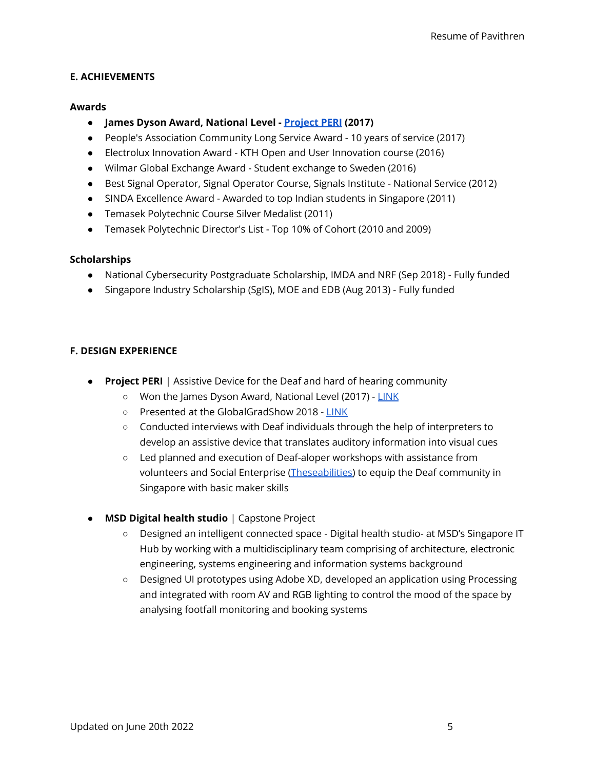#### **E. ACHIEVEMENTS**

#### **Awards**

- **● James Dyson Award, National Level - [Project](https://www.jamesdysonaward.org/en-SG/2017/project/peri/) PERI (2017)**
- People's Association Community Long Service Award 10 years of service (2017)
- Electrolux Innovation Award KTH Open and User Innovation course (2016)
- Wilmar Global Exchange Award Student exchange to Sweden (2016)
- Best Signal Operator, Signal Operator Course, Signals Institute National Service (2012)
- SINDA Excellence Award Awarded to top Indian students in Singapore (2011)
- Temasek Polytechnic Course Silver Medalist (2011)
- Temasek Polytechnic Director's List Top 10% of Cohort (2010 and 2009)

#### **Scholarships**

- National Cybersecurity Postgraduate Scholarship, IMDA and NRF (Sep 2018) Fully funded
- Singapore Industry Scholarship (SgIS), MOE and EDB (Aug 2013) Fully funded

#### **F. DESIGN EXPERIENCE**

- **Project PERI** | Assistive Device for the Deaf and hard of hearing community
	- Won the James Dyson Award, National Level (2017) [LINK](https://www.jamesdysonaward.org/en-SG/2017/project/peri/)
	- o Presented at the GlobalGradShow 2018 [LINK](https://globalgradshow.com/project/peri/)
	- Conducted interviews with Deaf individuals through the help of interpreters to develop an assistive device that translates auditory information into visual cues
	- Led planned and execution of Deaf-aloper workshops with assistance from volunteers and Social Enterprise [\(Theseabilities\)](http://www.theseabilities.com/) to equip the Deaf community in Singapore with basic maker skills
- **MSD Digital health studio** | Capstone Project
	- Designed an intelligent connected space Digital health studio- at MSD's Singapore IT Hub by working with a multidisciplinary team comprising of architecture, electronic engineering, systems engineering and information systems background
	- Designed UI prototypes using Adobe XD, developed an application using Processing and integrated with room AV and RGB lighting to control the mood of the space by analysing footfall monitoring and booking systems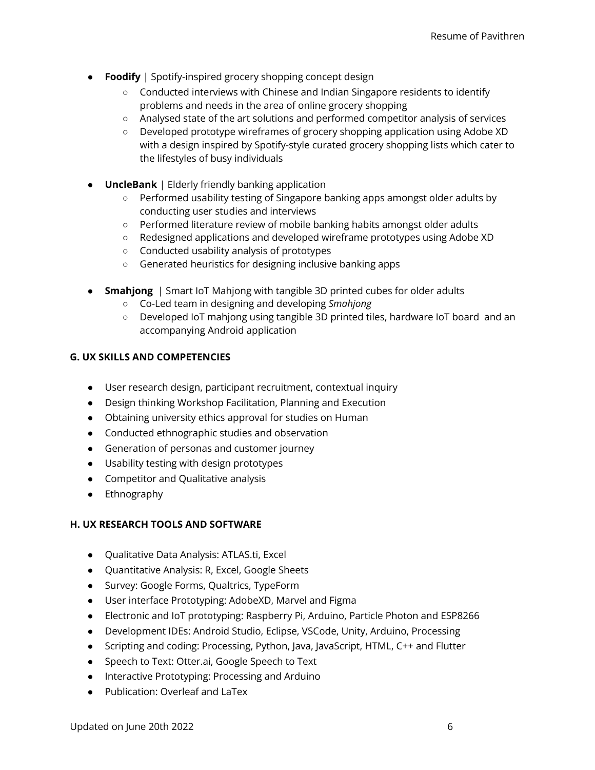- **Foodify** | Spotify-inspired grocery shopping concept design
	- Conducted interviews with Chinese and Indian Singapore residents to identify problems and needs in the area of online grocery shopping
	- Analysed state of the art solutions and performed competitor analysis of services
	- Developed prototype wireframes of grocery shopping application using Adobe XD with a design inspired by Spotify-style curated grocery shopping lists which cater to the lifestyles of busy individuals
- **UncleBank** | Elderly friendly banking application
	- Performed usability testing of Singapore banking apps amongst older adults by conducting user studies and interviews
	- Performed literature review of mobile banking habits amongst older adults
	- Redesigned applications and developed wireframe prototypes using Adobe XD
	- Conducted usability analysis of prototypes
	- Generated heuristics for designing inclusive banking apps
- **Smahjong** | Smart IoT Mahjong with tangible 3D printed cubes for older adults
	- Co-Led team in designing and developing *Smahjong*
	- Developed IoT mahjong using tangible 3D printed tiles, hardware IoT board and an accompanying Android application

#### **G. UX SKILLS AND COMPETENCIES**

- User research design, participant recruitment, contextual inquiry
- Design thinking Workshop Facilitation, Planning and Execution
- Obtaining university ethics approval for studies on Human
- Conducted ethnographic studies and observation
- Generation of personas and customer journey
- Usability testing with design prototypes
- Competitor and Qualitative analysis
- Ethnography

#### **H. UX RESEARCH TOOLS AND SOFTWARE**

- Qualitative Data Analysis: ATLAS.ti, Excel
- Quantitative Analysis: R, Excel, Google Sheets
- Survey: Google Forms, Qualtrics, TypeForm
- User interface Prototyping: AdobeXD, Marvel and Figma
- Electronic and IoT prototyping: Raspberry Pi, Arduino, Particle Photon and ESP8266
- Development IDEs: Android Studio, Eclipse, VSCode, Unity, Arduino, Processing
- Scripting and coding: Processing, Python, Java, JavaScript, HTML, C++ and Flutter
- Speech to Text: Otter.ai, Google Speech to Text
- Interactive Prototyping: Processing and Arduino
- Publication: Overleaf and LaTex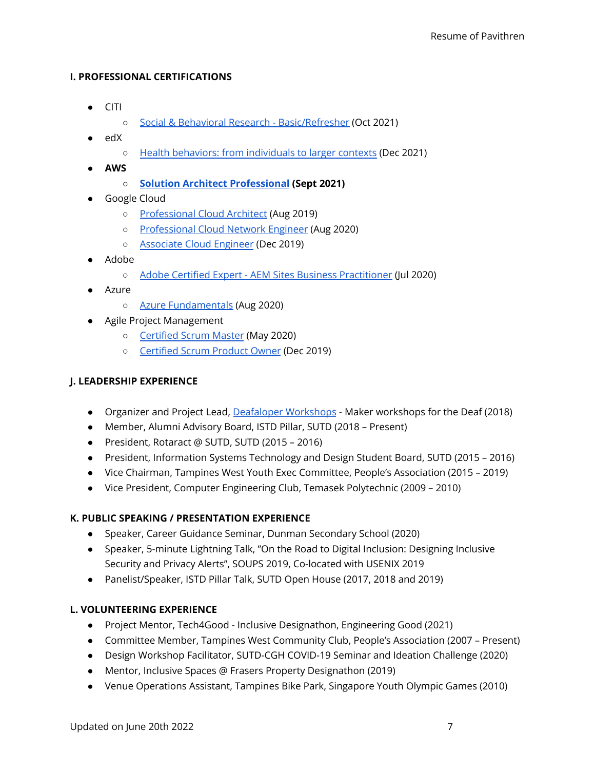#### **I. PROFESSIONAL CERTIFICATIONS**

- CITI
	- Social & Behavioral Research [Basic/Refresher](https://www.citiprogram.org/verify/?wcb4c94cf-e1c0-4cef-bc3c-6fb178a2dd7f-45374223) (Oct 2021)
- edX
	- Health behaviors: from [individuals](https://courses.edx.org/certificates/7f91e8ad629f493a9c68ade0034ea969) to larger contexts (Dec 2021)
- **● AWS**
	- **○ Solution Architect [Professional](https://www.credly.com/badges/fff55e26-c322-4c64-b307-96b02fdd78ba) (Sept 2021)**
- Google Cloud
	- [Professional](https://www.credential.net/1eb7e52b-2912-48fe-8133-e93d5fadd9a8#gs.g2ozw2) Cloud Architect (Aug 2019)
	- [Professional](https://www.credential.net/cef681ed-243f-4257-a102-0f2b0bcea6c6#gs.g2oya6) Cloud Network Engineer (Aug 2020)
	- [Associate](https://www.credential.net/e191c5d3-e432-4f0f-b0f8-f4f3c5bec64b#gs.g2oz0d) Cloud Engineer (Dec 2019)
- Adobe
	- Adobe Certified Expert AEM Sites Business [Practitioner](https://www.youracclaim.com/badges/3ae7ab22-bce7-4325-a6fa-45703589b0ea) (Jul 2020)
- Azure
	- Azure [Fundamentals](https://www.credly.com/badges/3881183a-a479-4047-84bd-8a5cd96ff769) (Aug 2020)
- Agile Project Management
	- [Certified](http://bcert.me/slhnwyjpc) Scrum Master (May 2020)
	- [Certified](http://bcert.me/sygncwvnh) Scrum Product Owner (Dec 2019)

# **J. LEADERSHIP EXPERIENCE**

- Organizer and Project Lead, Deafaloper [Workshops](https://www.pavithren.com/deaf-a-loper) Maker workshops for the Deaf (2018)
- Member, Alumni Advisory Board, ISTD Pillar, SUTD (2018 Present)
- President, Rotaract @ SUTD, SUTD (2015 2016)
- President, Information Systems Technology and Design Student Board, SUTD (2015 2016)
- Vice Chairman, Tampines West Youth Exec Committee, People's Association (2015 2019)
- Vice President, Computer Engineering Club, Temasek Polytechnic (2009 2010)

# **K. PUBLIC SPEAKING / PRESENTATION EXPERIENCE**

- Speaker, Career Guidance Seminar, Dunman Secondary School (2020)
- Speaker, 5-minute Lightning Talk, "On the Road to Digital Inclusion: Designing Inclusive Security and Privacy Alerts", SOUPS 2019, Co-located with USENIX 2019
- Panelist/Speaker, ISTD Pillar Talk, SUTD Open House (2017, 2018 and 2019)

# **L. VOLUNTEERING EXPERIENCE**

- Project Mentor, Tech4Good Inclusive Designathon, Engineering Good (2021)
- Committee Member, Tampines West Community Club, People's Association (2007 Present)
- Design Workshop Facilitator, SUTD-CGH COVID-19 Seminar and Ideation Challenge (2020)
- Mentor, Inclusive Spaces @ Frasers Property Designathon (2019)
- Venue Operations Assistant, Tampines Bike Park, Singapore Youth Olympic Games (2010)